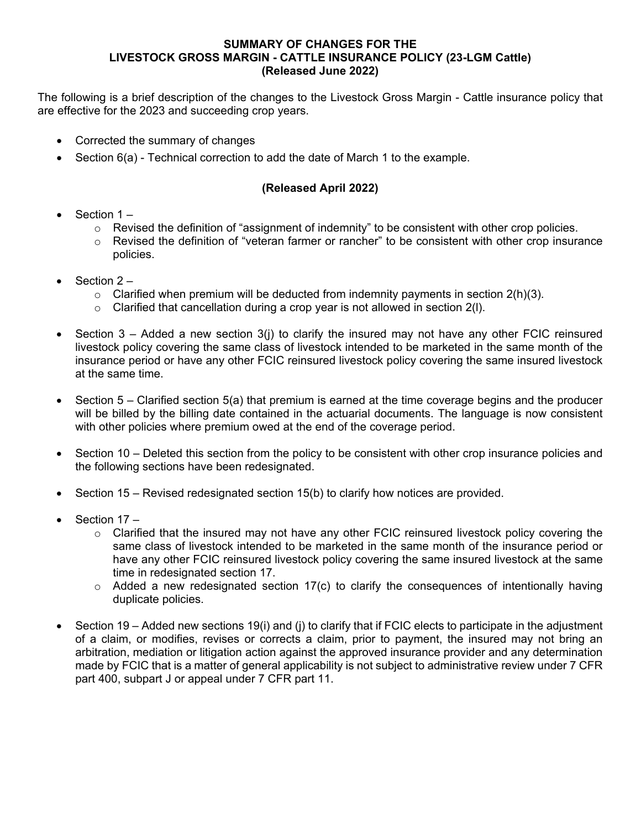## **SUMMARY OF CHANGES FOR THE LIVESTOCK GROSS MARGIN - CATTLE INSURANCE POLICY (23-LGM Cattle) (Released June 2022)**

The following is a brief description of the changes to the Livestock Gross Margin - Cattle insurance policy that are effective for the 2023 and succeeding crop years.

- Corrected the summary of changes
- Section 6(a) Technical correction to add the date of March 1 to the example.

## **(Released April 2022)**

- Section  $1 -$ 
	- $\circ$  Revised the definition of "assignment of indemnity" to be consistent with other crop policies.
	- $\circ$  Revised the definition of "veteran farmer or rancher" to be consistent with other crop insurance policies.
- Section  $2 -$ 
	- $\circ$  Clarified when premium will be deducted from indemnity payments in section 2(h)(3).
	- $\circ$  Clarified that cancellation during a crop year is not allowed in section 2(I).
- Section  $3 -$  Added a new section  $3(i)$  to clarify the insured may not have any other FCIC reinsured livestock policy covering the same class of livestock intended to be marketed in the same month of the insurance period or have any other FCIC reinsured livestock policy covering the same insured livestock at the same time.
- Section 5 Clarified section 5(a) that premium is earned at the time coverage begins and the producer will be billed by the billing date contained in the actuarial documents. The language is now consistent with other policies where premium owed at the end of the coverage period.
- Section 10 Deleted this section from the policy to be consistent with other crop insurance policies and the following sections have been redesignated.
- Section 15 Revised redesignated section 15(b) to clarify how notices are provided.
- Section 17
	- $\circ$  Clarified that the insured may not have any other FCIC reinsured livestock policy covering the same class of livestock intended to be marketed in the same month of the insurance period or have any other FCIC reinsured livestock policy covering the same insured livestock at the same time in redesignated section 17.
	- $\circ$  Added a new redesignated section 17(c) to clarify the consequences of intentionally having duplicate policies.
- Section 19 Added new sections 19(i) and (j) to clarify that if FCIC elects to participate in the adjustment of a claim, or modifies, revises or corrects a claim, prior to payment, the insured may not bring an arbitration, mediation or litigation action against the approved insurance provider and any determination made by FCIC that is a matter of general applicability is not subject to administrative review under 7 CFR part 400, subpart J or appeal under 7 CFR part 11.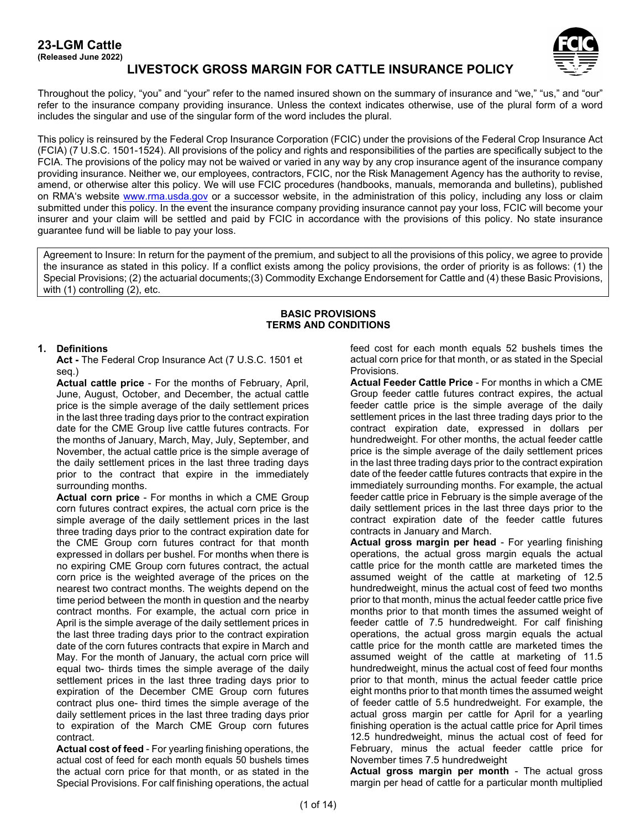# **23-LGM Cattle**

**(Released June 2022)**



## **LIVESTOCK GROSS MARGIN FOR CATTLE INSURANCE POLICY**

Throughout the policy, "you" and "your" refer to the named insured shown on the summary of insurance and "we," "us," and "our" refer to the insurance company providing insurance. Unless the context indicates otherwise, use of the plural form of a word includes the singular and use of the singular form of the word includes the plural.

This policy is reinsured by the Federal Crop Insurance Corporation (FCIC) under the provisions of the Federal Crop Insurance Act (FCIA) (7 U.S.C. 1501-1524). All provisions of the policy and rights and responsibilities of the parties are specifically subject to the FCIA. The provisions of the policy may not be waived or varied in any way by any crop insurance agent of the insurance company providing insurance. Neither we, our employees, contractors, FCIC, nor the Risk Management Agency has the authority to revise, amend, or otherwise alter this policy. We will use FCIC procedures (handbooks, manuals, memoranda and bulletins), published on RMA's website [www.rma.usda.gov](http://www.rma.usda.gov/) or a successor website, in the administration of this policy, including any loss or claim submitted under this policy. In the event the insurance company providing insurance cannot pay your loss, FCIC will become your insurer and your claim will be settled and paid by FCIC in accordance with the provisions of this policy. No state insurance guarantee fund will be liable to pay your loss.

Agreement to Insure: In return for the payment of the premium, and subject to all the provisions of this policy, we agree to provide the insurance as stated in this policy. If a conflict exists among the policy provisions, the order of priority is as follows: (1) the Special Provisions; (2) the actuarial documents;(3) Commodity Exchange Endorsement for Cattle and (4) these Basic Provisions, with (1) controlling (2), etc.

### **BASIC PROVISIONS TERMS AND CONDITIONS**

## **1. Definitions**

**Act -** The Federal Crop Insurance Act (7 U.S.C. 1501 et seq.)

**Actual cattle price** - For the months of February, April, June, August, October, and December, the actual cattle price is the simple average of the daily settlement prices in the last three trading days prior to the contract expiration date for the CME Group live cattle futures contracts. For the months of January, March, May, July, September, and November, the actual cattle price is the simple average of the daily settlement prices in the last three trading days prior to the contract that expire in the immediately surrounding months.

**Actual corn price** - For months in which a CME Group corn futures contract expires, the actual corn price is the simple average of the daily settlement prices in the last three trading days prior to the contract expiration date for the CME Group corn futures contract for that month expressed in dollars per bushel. For months when there is no expiring CME Group corn futures contract, the actual corn price is the weighted average of the prices on the nearest two contract months. The weights depend on the time period between the month in question and the nearby contract months. For example, the actual corn price in April is the simple average of the daily settlement prices in the last three trading days prior to the contract expiration date of the corn futures contracts that expire in March and May. For the month of January, the actual corn price will equal two- thirds times the simple average of the daily settlement prices in the last three trading days prior to expiration of the December CME Group corn futures contract plus one- third times the simple average of the daily settlement prices in the last three trading days prior to expiration of the March CME Group corn futures contract.

**Actual cost of feed** - For yearling finishing operations, the actual cost of feed for each month equals 50 bushels times the actual corn price for that month, or as stated in the Special Provisions. For calf finishing operations, the actual feed cost for each month equals 52 bushels times the actual corn price for that month, or as stated in the Special Provisions.

**Actual Feeder Cattle Price** - For months in which a CME Group feeder cattle futures contract expires, the actual feeder cattle price is the simple average of the daily settlement prices in the last three trading days prior to the contract expiration date, expressed in dollars per hundredweight. For other months, the actual feeder cattle price is the simple average of the daily settlement prices in the last three trading days prior to the contract expiration date of the feeder cattle futures contracts that expire in the immediately surrounding months. For example, the actual feeder cattle price in February is the simple average of the daily settlement prices in the last three days prior to the contract expiration date of the feeder cattle futures contracts in January and March.

**Actual gross margin per head** - For yearling finishing operations, the actual gross margin equals the actual cattle price for the month cattle are marketed times the assumed weight of the cattle at marketing of 12.5 hundredweight, minus the actual cost of feed two months prior to that month, minus the actual feeder cattle price five months prior to that month times the assumed weight of feeder cattle of 7.5 hundredweight. For calf finishing operations, the actual gross margin equals the actual cattle price for the month cattle are marketed times the assumed weight of the cattle at marketing of 11.5 hundredweight, minus the actual cost of feed four months prior to that month, minus the actual feeder cattle price eight months prior to that month times the assumed weight of feeder cattle of 5.5 hundredweight. For example, the actual gross margin per cattle for April for a yearling finishing operation is the actual cattle price for April times 12.5 hundredweight, minus the actual cost of feed for February, minus the actual feeder cattle price for November times 7.5 hundredweight

**Actual gross margin per month** - The actual gross margin per head of cattle for a particular month multiplied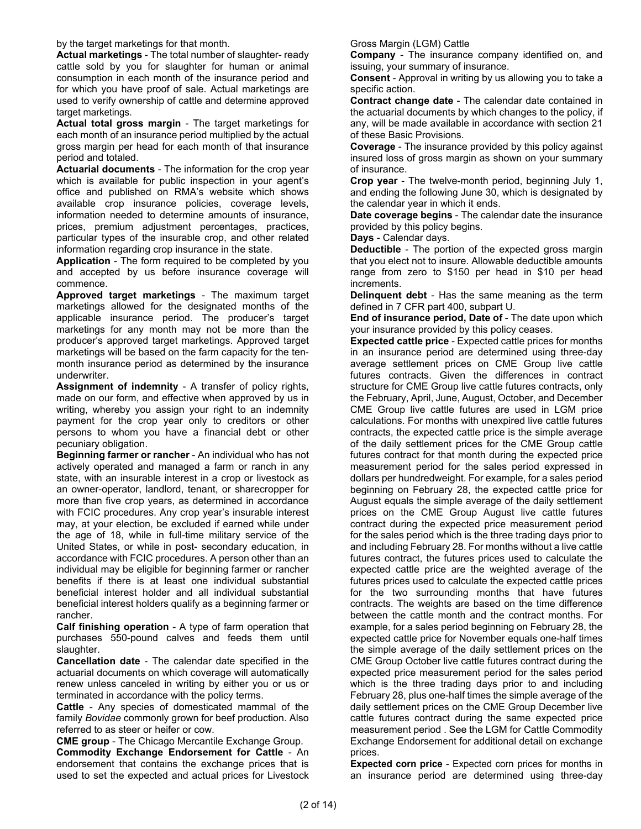by the target marketings for that month.

**Actual marketings** - The total number of slaughter- ready cattle sold by you for slaughter for human or animal consumption in each month of the insurance period and for which you have proof of sale. Actual marketings are used to verify ownership of cattle and determine approved target marketings.

**Actual total gross margin** - The target marketings for each month of an insurance period multiplied by the actual gross margin per head for each month of that insurance period and totaled.

**Actuarial documents** - The information for the crop year which is available for public inspection in your agent's office and published on RMA's website which shows available crop insurance policies, coverage levels, information needed to determine amounts of insurance, prices, premium adjustment percentages, practices, particular types of the insurable crop, and other related information regarding crop insurance in the state.

**Application** - The form required to be completed by you and accepted by us before insurance coverage will commence.

**Approved target marketings** - The maximum target marketings allowed for the designated months of the applicable insurance period. The producer's target marketings for any month may not be more than the producer's approved target marketings. Approved target marketings will be based on the farm capacity for the tenmonth insurance period as determined by the insurance underwriter.

**Assignment of indemnity** - A transfer of policy rights, made on our form, and effective when approved by us in writing, whereby you assign your right to an indemnity payment for the crop year only to creditors or other persons to whom you have a financial debt or other pecuniary obligation.

**Beginning farmer or rancher** - An individual who has not actively operated and managed a farm or ranch in any state, with an insurable interest in a crop or livestock as an owner-operator, landlord, tenant, or sharecropper for more than five crop years, as determined in accordance with FCIC procedures. Any crop year's insurable interest may, at your election, be excluded if earned while under the age of 18, while in full-time military service of the United States, or while in post- secondary education, in accordance with FCIC procedures. A person other than an individual may be eligible for beginning farmer or rancher benefits if there is at least one individual substantial beneficial interest holder and all individual substantial beneficial interest holders qualify as a beginning farmer or rancher.

**Calf finishing operation** - A type of farm operation that purchases 550-pound calves and feeds them until slaughter.

**Cancellation date** - The calendar date specified in the actuarial documents on which coverage will automatically renew unless canceled in writing by either you or us or terminated in accordance with the policy terms.

**Cattle** - Any species of domesticated mammal of the family *Bovidae* commonly grown for beef production. Also referred to as steer or heifer or cow.

**CME group** - The Chicago Mercantile Exchange Group. **Commodity Exchange Endorsement for Cattle** - An endorsement that contains the exchange prices that is used to set the expected and actual prices for Livestock Gross Margin (LGM) Cattle

**Company** - The insurance company identified on, and issuing, your summary of insurance.

**Consent** - Approval in writing by us allowing you to take a specific action.

**Contract change date** - The calendar date contained in the actuarial documents by which changes to the policy, if any, will be made available in accordance with section 21 of these Basic Provisions.

**Coverage** - The insurance provided by this policy against insured loss of gross margin as shown on your summary of insurance.

**Crop year** - The twelve-month period, beginning July 1, and ending the following June 30, which is designated by the calendar year in which it ends.

**Date coverage begins** - The calendar date the insurance provided by this policy begins.

**Days** - Calendar days.

**Deductible** - The portion of the expected gross margin that you elect not to insure. Allowable deductible amounts range from zero to \$150 per head in \$10 per head increments.

**Delinquent debt** - Has the same meaning as the term defined in 7 CFR part 400, subpart U.

**End of insurance period, Date of** - The date upon which your insurance provided by this policy ceases.

**Expected cattle price** - Expected cattle prices for months in an insurance period are determined using three-day average settlement prices on CME Group live cattle futures contracts. Given the differences in contract structure for CME Group live cattle futures contracts, only the February, April, June, August, October, and December CME Group live cattle futures are used in LGM price calculations. For months with unexpired live cattle futures contracts, the expected cattle price is the simple average of the daily settlement prices for the CME Group cattle futures contract for that month during the expected price measurement period for the sales period expressed in dollars per hundredweight. For example, for a sales period beginning on February 28, the expected cattle price for August equals the simple average of the daily settlement prices on the CME Group August live cattle futures contract during the expected price measurement period for the sales period which is the three trading days prior to and including February 28. For months without a live cattle futures contract, the futures prices used to calculate the expected cattle price are the weighted average of the futures prices used to calculate the expected cattle prices for the two surrounding months that have futures contracts. The weights are based on the time difference between the cattle month and the contract months. For example, for a sales period beginning on February 28, the expected cattle price for November equals one-half times the simple average of the daily settlement prices on the CME Group October live cattle futures contract during the expected price measurement period for the sales period which is the three trading days prior to and including February 28, plus one-half times the simple average of the daily settlement prices on the CME Group December live cattle futures contract during the same expected price measurement period . See the LGM for Cattle Commodity Exchange Endorsement for additional detail on exchange prices.

**Expected corn price** - Expected corn prices for months in an insurance period are determined using three-day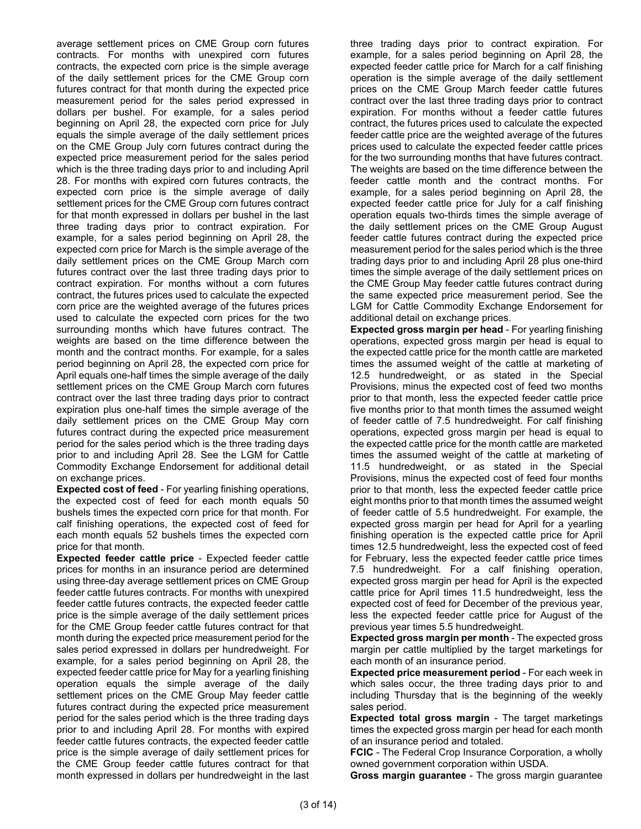average settlement prices on CME Group corn futures contracts. For months with unexpired corn futures contracts, the expected corn price is the simple average of the daily settlement prices for the CME Group corn futures contract for that month during the expected price measurement period for the sales period expressed in dollars per bushel. For example, for a sales period beginning on April 28, the expected corn price for July equals the simple average of the daily settlement prices on the CME Group July corn futures contract during the expected price measurement period for the sales period which is the three trading days prior to and including April 28. For months with expired corn futures contracts, the expected corn price is the simple average of daily settlement prices for the CME Group corn futures contract for that month expressed in dollars per bushel in the last three trading days prior to contract expiration. For example, for a sales period beginning on April 28, the expected corn price for March is the simple average of the daily settlement prices on the CME Group March corn futures contract over the last three trading days prior to contract expiration. For months without a corn futures contract, the futures prices used to calculate the expected corn price are the weighted average of the futures prices used to calculate the expected corn prices for the two surrounding months which have futures contract. The weights are based on the time difference between the month and the contract months. For example, for a sales period beginning on April 28, the expected corn price for April equals one-half times the simple average of the daily settlement prices on the CME Group March corn futures contract over the last three trading days prior to contract expiration plus one-half times the simple average of the daily settlement prices on the CME Group May corn futures contract during the expected price measurement period for the sales period which is the three trading days prior to and including April 28. See the LGM for Cattle Commodity Exchange Endorsement for additional detail on exchange prices.

**Expected cost of feed** - For yearling finishing operations, the expected cost of feed for each month equals 50 bushels times the expected corn price for that month. For calf finishing operations, the expected cost of feed for each month equals 52 bushels times the expected corn price for that month.

**Expected feeder cattle price** - Expected feeder cattle prices for months in an insurance period are determined using three-day average settlement prices on CME Group feeder cattle futures contracts. For months with unexpired feeder cattle futures contracts, the expected feeder cattle price is the simple average of the daily settlement prices for the CME Group feeder cattle futures contract for that month during the expected price measurement period for the sales period expressed in dollars per hundredweight. For example, for a sales period beginning on April 28, the expected feeder cattle price for May for a yearling finishing operation equals the simple average of the daily settlement prices on the CME Group May feeder cattle futures contract during the expected price measurement period for the sales period which is the three trading days prior to and including April 28. For months with expired feeder cattle futures contracts, the expected feeder cattle price is the simple average of daily settlement prices for the CME Group feeder cattle futures contract for that month expressed in dollars per hundredweight in the last three trading days prior to contract expiration. For example, for a sales period beginning on April 28, the expected feeder cattle price for March for a calf finishing operation is the simple average of the daily settlement prices on the CME Group March feeder cattle futures contract over the last three trading days prior to contract expiration. For months without a feeder cattle futures contract, the futures prices used to calculate the expected feeder cattle price are the weighted average of the futures prices used to calculate the expected feeder cattle prices for the two surrounding months that have futures contract. The weights are based on the time difference between the feeder cattle month and the contract months. For example, for a sales period beginning on April 28, the expected feeder cattle price for July for a calf finishing operation equals two-thirds times the simple average of the daily settlement prices on the CME Group August feeder cattle futures contract during the expected price measurement period for the sales period which is the three trading days prior to and including April 28 plus one-third times the simple average of the daily settlement prices on the CME Group May feeder cattle futures contract during the same expected price measurement period. See the LGM for Cattle Commodity Exchange Endorsement for additional detail on exchange prices.

**Expected gross margin per head** - For yearling finishing operations, expected gross margin per head is equal to the expected cattle price for the month cattle are marketed times the assumed weight of the cattle at marketing of 12.5 hundredweight, or as stated in the Special Provisions, minus the expected cost of feed two months prior to that month, less the expected feeder cattle price five months prior to that month times the assumed weight of feeder cattle of 7.5 hundredweight. For calf finishing operations, expected gross margin per head is equal to the expected cattle price for the month cattle are marketed times the assumed weight of the cattle at marketing of 11.5 hundredweight, or as stated in the Special Provisions, minus the expected cost of feed four months prior to that month, less the expected feeder cattle price eight months prior to that month times the assumed weight of feeder cattle of 5.5 hundredweight. For example, the expected gross margin per head for April for a yearling finishing operation is the expected cattle price for April times 12.5 hundredweight, less the expected cost of feed for February, less the expected feeder cattle price times 7.5 hundredweight. For a calf finishing operation, expected gross margin per head for April is the expected cattle price for April times 11.5 hundredweight, less the expected cost of feed for December of the previous year, less the expected feeder cattle price for August of the previous year times 5.5 hundredweight.

**Expected gross margin per month** - The expected gross margin per cattle multiplied by the target marketings for each month of an insurance period.

**Expected price measurement period** - For each week in which sales occur, the three trading days prior to and including Thursday that is the beginning of the weekly sales period.

**Expected total gross margin** - The target marketings times the expected gross margin per head for each month of an insurance period and totaled.

**FCIC** - The Federal Crop Insurance Corporation, a wholly owned government corporation within USDA.

**Gross margin guarantee** - The gross margin guarantee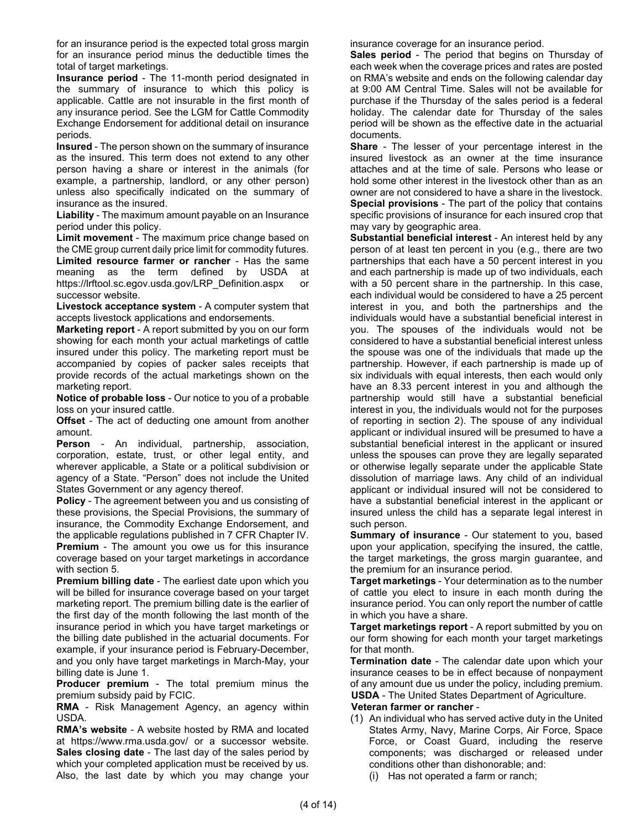for an insurance period is the expected total gross margin for an insurance period minus the deductible times the total of target marketings.

**Insurance period** - The 11-month period designated in the summary of insurance to which this policy is applicable. Cattle are not insurable in the first month of any insurance period. See the LGM for Cattle Commodity Exchange Endorsement for additional detail on insurance periods.

**Insured** - The person shown on the summary of insurance as the insured. This term does not extend to any other person having a share or interest in the animals (for example, a partnership, landlord, or any other person) unless also specifically indicated on the summary of insurance as the insured.

**Liability** - The maximum amount payable on an Insurance period under this policy.

**Limit movement** - The maximum price change based on the CME group current daily price limit for commodity futures.

**Limited resource farmer or rancher** - Has the same meaning as the term defined by USDA at https://lrftool.sc.egov.usda.gov/LRP\_Definition.aspx or successor website.

**Livestock acceptance system** - A computer system that accepts livestock applications and endorsements.

**Marketing report** - A report submitted by you on our form showing for each month your actual marketings of cattle insured under this policy. The marketing report must be accompanied by copies of packer sales receipts that provide records of the actual marketings shown on the marketing report.

**Notice of probable loss** - Our notice to you of a probable loss on your insured cattle.

**Offset** - The act of deducting one amount from another amount.

**Person** - An individual, partnership, association, corporation, estate, trust, or other legal entity, and wherever applicable, a State or a political subdivision or agency of a State. "Person" does not include the United States Government or any agency thereof.

**Policy** - The agreement between you and us consisting of these provisions, the Special Provisions, the summary of insurance, the Commodity Exchange Endorsement, and the applicable regulations published in 7 CFR Chapter IV. **Premium** - The amount you owe us for this insurance coverage based on your target marketings in accordance with section 5.

**Premium billing date** - The earliest date upon which you will be billed for insurance coverage based on your target marketing report. The premium billing date is the earlier of the first day of the month following the last month of the insurance period in which you have target marketings or the billing date published in the actuarial documents. For example, if your insurance period is February-December, and you only have target marketings in March-May, your billing date is June 1.

**Producer premium** - The total premium minus the premium subsidy paid by FCIC.

**RMA** - Risk Management Agency, an agency within USDA.

**RMA's website** - A website hosted by RMA and located at https:/[/www.rma.usda.gov/ o](http://www.rma.usda.gov/)r a successor website. **Sales closing date** - The last day of the sales period by which your completed application must be received by us. Also, the last date by which you may change your

insurance coverage for an insurance period.

**Sales period** - The period that begins on Thursday of each week when the coverage prices and rates are posted on RMA's website and ends on the following calendar day at 9:00 AM Central Time. Sales will not be available for purchase if the Thursday of the sales period is a federal holiday. The calendar date for Thursday of the sales period will be shown as the effective date in the actuarial documents.

**Share** - The lesser of your percentage interest in the insured livestock as an owner at the time insurance attaches and at the time of sale. Persons who lease or hold some other interest in the livestock other than as an owner are not considered to have a share in the livestock. **Special provisions** - The part of the policy that contains specific provisions of insurance for each insured crop that may vary by geographic area.

**Substantial beneficial interest** - An interest held by any person of at least ten percent in you (e.g., there are two partnerships that each have a 50 percent interest in you and each partnership is made up of two individuals, each with a 50 percent share in the partnership. In this case, each individual would be considered to have a 25 percent interest in you, and both the partnerships and the individuals would have a substantial beneficial interest in you. The spouses of the individuals would not be considered to have a substantial beneficial interest unless the spouse was one of the individuals that made up the partnership. However, if each partnership is made up of six individuals with equal interests, then each would only have an 8.33 percent interest in you and although the partnership would still have a substantial beneficial interest in you, the individuals would not for the purposes of reporting in section 2). The spouse of any individual applicant or individual insured will be presumed to have a substantial beneficial interest in the applicant or insured unless the spouses can prove they are legally separated or otherwise legally separate under the applicable State dissolution of marriage laws. Any child of an individual applicant or individual insured will not be considered to have a substantial beneficial interest in the applicant or insured unless the child has a separate legal interest in such person.

**Summary of insurance** - Our statement to you, based upon your application, specifying the insured, the cattle, the target marketings, the gross margin guarantee, and the premium for an insurance period.

**Target marketings** - Your determination as to the number of cattle you elect to insure in each month during the insurance period. You can only report the number of cattle in which you have a share.

**Target marketings report** - A report submitted by you on our form showing for each month your target marketings for that month.

**Termination date** - The calendar date upon which your insurance ceases to be in effect because of nonpayment of any amount due us under the policy, including premium. **USDA** - The United States Department of Agriculture.

#### **Veteran farmer or rancher** -

(1) An individual who has served active duty in the United States Army, Navy, Marine Corps, Air Force, Space Force, or Coast Guard, including the reserve components; was discharged or released under conditions other than dishonorable; and:

(i) Has not operated a farm or ranch;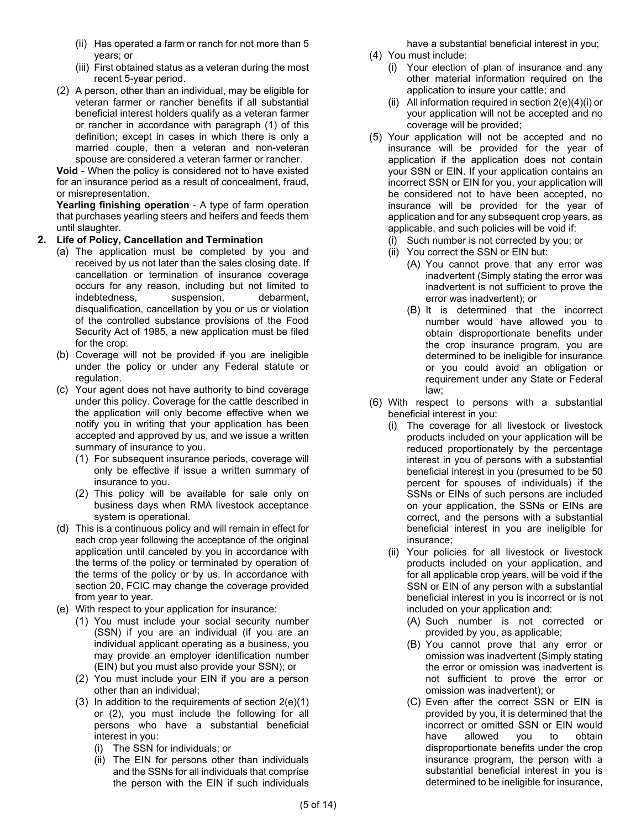- (ii) Has operated a farm or ranch for not more than 5 years; or
- (iii) First obtained status as a veteran during the most recent 5-year period.
- (2) A person, other than an individual, may be eligible for veteran farmer or rancher benefits if all substantial beneficial interest holders qualify as a veteran farmer or rancher in accordance with paragraph (1) of this definition; except in cases in which there is only a married couple, then a veteran and non-veteran spouse are considered a veteran farmer or rancher.

**Void** - When the policy is considered not to have existed for an insurance period as a result of concealment, fraud, or misrepresentation.

**Yearling finishing operation** - A type of farm operation that purchases yearling steers and heifers and feeds them until slaughter.

## **2. Life of Policy, Cancellation and Termination**

- (a) The application must be completed by you and received by us not later than the sales closing date. If cancellation or termination of insurance coverage occurs for any reason, including but not limited to indebtedness, suspension, debarment, disqualification, cancellation by you or us or violation of the controlled substance provisions of the Food Security Act of 1985, a new application must be filed for the crop.
- (b) Coverage will not be provided if you are ineligible under the policy or under any Federal statute or regulation.
- (c) Your agent does not have authority to bind coverage under this policy. Coverage for the cattle described in the application will only become effective when we notify you in writing that your application has been accepted and approved by us, and we issue a written summary of insurance to you.
	- (1) For subsequent insurance periods, coverage will only be effective if issue a written summary of insurance to you.
	- (2) This policy will be available for sale only on business days when RMA livestock acceptance system is operational.
- (d) This is a continuous policy and will remain in effect for each crop year following the acceptance of the original application until canceled by you in accordance with the terms of the policy or terminated by operation of the terms of the policy or by us. In accordance with section 20, FCIC may change the coverage provided from year to year.
- <span id="page-5-4"></span><span id="page-5-1"></span><span id="page-5-0"></span>(e) With respect to your application for insurance:
	- (1) You must include your social security number (SSN) if you are an individual (if you are an individual applicant operating as a business, you may provide an employer identification number (EIN) but you must also provide your SSN); or
	- (2) You must include your EIN if you are a person other than an individual;
	- (3) In addition to the requirements of section [2\(e\)\(1\)](#page-5-0) or [\(2\),](#page-5-1) you must include the following for all persons who have a substantial beneficial interest in you:
		- (i) The SSN for individuals; or
		- (ii) The EIN for persons other than individuals and the SSNs for all individuals that comprise the person with the EIN if such individuals

have a substantial beneficial interest in you;

- <span id="page-5-2"></span>(4) You must include:
	- (i) Your election of plan of insurance and any other material information required on the application to insure your cattle; and
	- (ii) All information required in section  $2(e)(4)(i)$  or your application will not be accepted and no coverage will be provided;
- <span id="page-5-5"></span>(5) Your application will not be accepted and no insurance will be provided for the year of application if the application does not contain your SSN or EIN. If your application contains an incorrect SSN or EIN for you, your application will be considered not to have been accepted, no insurance will be provided for the year of application and for any subsequent crop years, as applicable, and such policies will be void if:
	- (i) Such number is not corrected by you; or
	- (ii) You correct the SSN or EIN but:
		- (A) You cannot prove that any error was inadvertent (Simply stating the error was inadvertent is not sufficient to prove the error was inadvertent); or
		- (B) It is determined that the incorrect number would have allowed you to obtain disproportionate benefits under the crop insurance program, you are determined to be ineligible for insurance or you could avoid an obligation or requirement under any State or Federal law;
- <span id="page-5-6"></span><span id="page-5-3"></span>(6) With respect to persons with a substantial beneficial interest in you:
	- (i) The coverage for all livestock or livestock products included on your application will be reduced proportionately by the percentage interest in you of persons with a substantial beneficial interest in you (presumed to be 50 percent for spouses of individuals) if the SSNs or EINs of such persons are included on your application, the SSNs or EINs are correct, and the persons with a substantial beneficial interest in you are ineligible for insurance;
	- (ii) Your policies for all livestock or livestock products included on your application, and for all applicable crop years, will be void if the SSN or EIN of any person with a substantial beneficial interest in you is incorrect or is not included on your application and:
		- (A) Such number is not corrected or provided by you, as applicable;
		- (B) You cannot prove that any error or omission was inadvertent (Simply stating the error or omission was inadvertent is not sufficient to prove the error or omission was inadvertent); or
		- (C) Even after the correct SSN or EIN is provided by you, it is determined that the incorrect or omitted SSN or EIN would have allowed you to obtain disproportionate benefits under the crop insurance program, the person with a substantial beneficial interest in you is determined to be ineligible for insurance,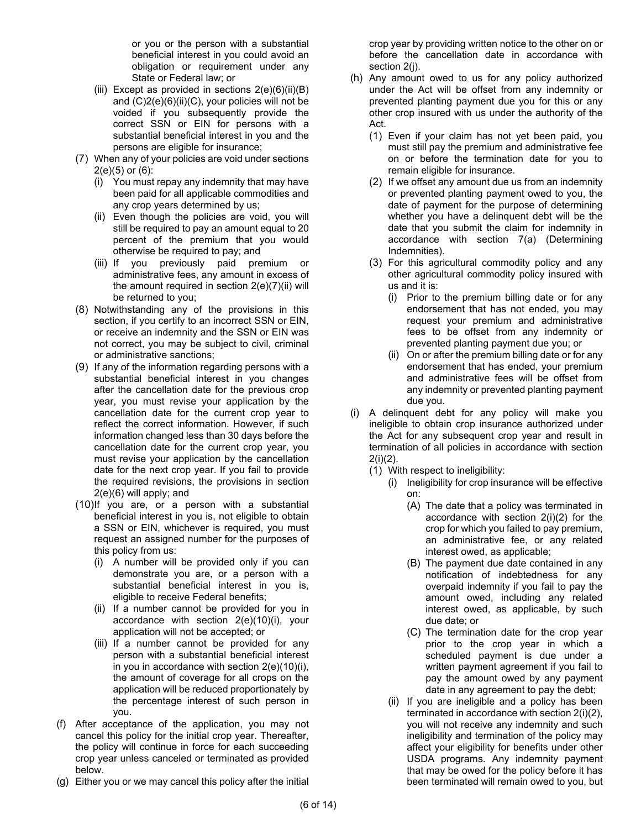or you or the person with a substantial beneficial interest in you could avoid an obligation or requirement under any State or Federal law; or

- (iii) Except as provided in sections  $2(e)(6)(ii)(B)$ and  $(C)2(e)(6)(ii)(C)$ , your policies will not be voided if you subsequently provide the correct SSN or EIN for persons with a substantial beneficial interest in you and the persons are eligible for insurance;
- <span id="page-6-0"></span>(7) When any of your policies are void under sections  $2(e)(5)$  or  $(6)$ :
	- (i) You must repay any indemnity that may have been paid for all applicable commodities and any crop years determined by us;
	- (ii) Even though the policies are void, you will still be required to pay an amount equal to 20 percent of the premium that you would otherwise be required to pay; and
	- (iii) If you previously paid premium or administrative fees, any amount in excess of the amount required in section [2\(e\)\(7\)\(ii\)](#page-6-0) will be returned to you;
- (8) Notwithstanding any of the provisions in this section, if you certify to an incorrect SSN or EIN, or receive an indemnity and the SSN or EIN was not correct, you may be subject to civil, criminal or administrative sanctions;
- (9) If any of the information regarding persons with a substantial beneficial interest in you changes after the cancellation date for the previous crop year, you must revise your application by the cancellation date for the current crop year to reflect the correct information. However, if such information changed less than 30 days before the cancellation date for the current crop year, you must revise your application by the cancellation date for the next crop year. If you fail to provide the required revisions, the provisions in section [2\(e\)\(6\)](#page-5-6) will apply; and
- <span id="page-6-1"></span>(10)If you are, or a person with a substantial beneficial interest in you is, not eligible to obtain a SSN or EIN, whichever is required, you must request an assigned number for the purposes of this policy from us:
	- (i) A number will be provided only if you can demonstrate you are, or a person with a substantial beneficial interest in you is, eligible to receive Federal benefits;
	- (ii) If a number cannot be provided for you in accordance with section [2\(e\)\(10\)\(i\),](#page-6-1) your application will not be accepted; or
	- (iii) If a number cannot be provided for any person with a substantial beneficial interest in you in accordance with section [2\(e\)\(10\)\(i\),](#page-6-1) the amount of coverage for all crops on the application will be reduced proportionately by the percentage interest of such person in you.
- (f) After acceptance of the application, you may not cancel this policy for the initial crop year. Thereafter, the policy will continue in force for each succeeding crop year unless canceled or terminated as provided below.
- (g) Either you or we may cancel this policy after the initial

crop year by providing written notice to the other on or before the cancellation date in accordance with section [2\(j\).](#page-8-0)

- <span id="page-6-2"></span>(h) Any amount owed to us for any policy authorized under the Act will be offset from any indemnity or prevented planting payment due you for this or any other crop insured with us under the authority of the Act.
	- (1) Even if your claim has not yet been paid, you must still pay the premium and administrative fee on or before the termination date for you to remain eligible for insurance.
	- (2) If we offset any amount due us from an indemnity or prevented planting payment owed to you, the date of payment for the purpose of determining whether you have a delinquent debt will be the date that you submit the claim for indemnity in accordance with section [7\(a\)](#page-10-0) (Determining Indemnities).
	- (3) For this agricultural commodity policy and any other agricultural commodity policy insured with us and it is:
		- (i) Prior to the premium billing date or for any endorsement that has not ended, you may request your premium and administrative fees to be offset from any indemnity or prevented planting payment due you; or
		- (ii) On or after the premium billing date or for any endorsement that has ended, your premium and administrative fees will be offset from any indemnity or prevented planting payment due you.
- <span id="page-6-3"></span>(i) A delinquent debt for any policy will make you ineligible to obtain crop insurance authorized under the Act for any subsequent crop year and result in termination of all policies in accordance with section [2\(i\)\(2\).](#page-7-0)
	- (1) With respect to ineligibility:
		- (i) Ineligibility for crop insurance will be effective on:
			- (A) The date that a policy was terminated in accordance with section [2\(i\)\(2\)](#page-7-0) for the crop for which you failed to pay premium, an administrative fee, or any related interest owed, as applicable;
			- (B) The payment due date contained in any notification of indebtedness for any overpaid indemnity if you fail to pay the amount owed, including any related interest owed, as applicable, by such due date; or
			- (C) The termination date for the crop year prior to the crop year in which a scheduled payment is due under a written payment agreement if you fail to pay the amount owed by any payment date in any agreement to pay the debt;
		- (ii) If you are ineligible and a policy has been terminated in accordance with section [2\(i\)\(2\),](#page-7-0)  you will not receive any indemnity and such ineligibility and termination of the policy may affect your eligibility for benefits under other USDA programs. Any indemnity payment that may be owed for the policy before it has been terminated will remain owed to you, but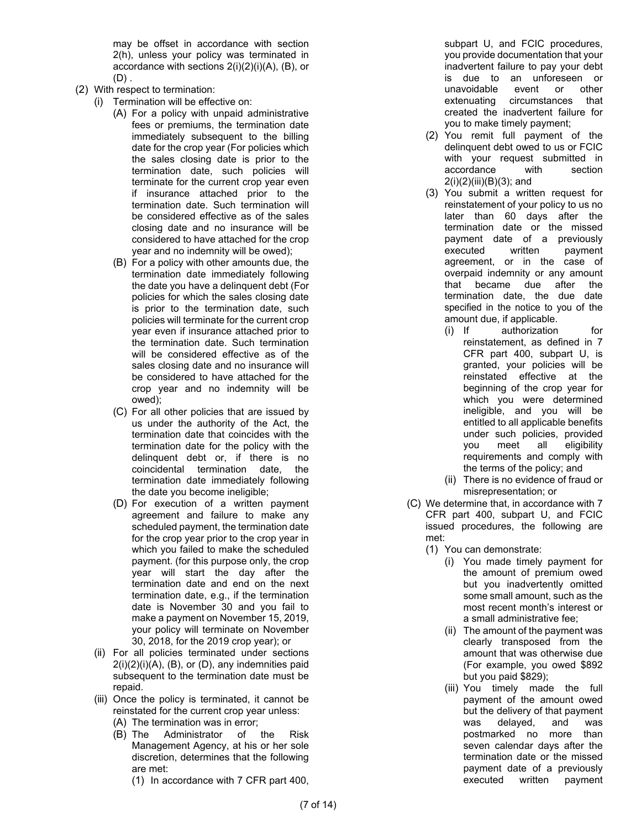may be offset in accordance with section [2\(h\),](#page-6-2) unless your policy was terminated in accordance with sections [2\(i\)\(2\)\(i\)\(A\),](#page-7-1) [\(B\),](#page-7-2) or  $(D)$ .

- <span id="page-7-7"></span><span id="page-7-2"></span><span id="page-7-1"></span><span id="page-7-0"></span>(2) With respect to termination:
	- (i) Termination will be effective on:
		- (A) For a policy with unpaid administrative fees or premiums, the termination date immediately subsequent to the billing date for the crop year (For policies which the sales closing date is prior to the termination date, such policies will terminate for the current crop year even if insurance attached prior to the termination date. Such termination will be considered effective as of the sales closing date and no insurance will be considered to have attached for the crop year and no indemnity will be owed);
		- (B) For a policy with other amounts due, the termination date immediately following the date you have a delinquent debt (For policies for which the sales closing date is prior to the termination date, such policies will terminate for the current crop year even if insurance attached prior to the termination date. Such termination will be considered effective as of the sales closing date and no insurance will be considered to have attached for the crop year and no indemnity will be owed);
		- (C) For all other policies that are issued by us under the authority of the Act, the termination date that coincides with the termination date for the policy with the delinquent debt or, if there is no coincidental termination date, the termination date immediately following the date you become ineligible;
		- (D) For execution of a written payment agreement and failure to make any scheduled payment, the termination date for the crop year prior to the crop year in which you failed to make the scheduled payment. (for this purpose only, the crop year will start the day after the termination date and end on the next termination date, e.g., if the termination date is November 30 and you fail to make a payment on November 15, 2019, your policy will terminate on November 30, 2018, for the 2019 crop year); or
	- (ii) For all policies terminated under sections  $2(i)(2)(i)(A)$ ,  $(B)$ , or  $(D)$ , any indemnities paid subsequent to the termination date must be repaid.
	- (iii) Once the policy is terminated, it cannot be reinstated for the current crop year unless:
		- (A) The termination was in error;
		- (B) The Administrator of the Risk Management Agency, at his or her sole discretion, determines that the following are met:
			- (1) In accordance with 7 CFR part 400,

subpart U, and FCIC procedures, you provide documentation that your inadvertent failure to pay your debt is due to an unforeseen or unavoidable event or other extenuating circumstances that created the inadvertent failure for you to make timely payment;

- (2) You remit full payment of the delinquent debt owed to us or FCIC with your request submitted in accordance with section [2\(i\)\(2\)\(iii\)\(B\)\(3\);](#page-7-4) and
- <span id="page-7-4"></span>(3) You submit a written request for reinstatement of your policy to us no later than 60 days after the termination date or the missed payment date of a previously executed written payment agreement, or in the case of overpaid indemnity or any amount that became due after the termination date, the due date specified in the notice to you of the amount due, if applicable.
	- (i) If authorization for reinstatement, as defined in 7 CFR part 400, subpart U, is granted, your policies will be reinstated effective at the beginning of the crop year for which you were determined ineligible, and you will be entitled to all applicable benefits under such policies, provided you meet all eligibility requirements and comply with the terms of the policy; and
	- (ii) There is no evidence of fraud or misrepresentation; or
- <span id="page-7-6"></span><span id="page-7-5"></span><span id="page-7-3"></span>(C) We determine that, in accordance with 7 CFR part 400, subpart U, and FCIC issued procedures, the following are met:
	- (1) You can demonstrate:
		- (i) You made timely payment for the amount of premium owed but you inadvertently omitted some small amount, such as the most recent month's interest or a small administrative fee;
		- (ii) The amount of the payment was clearly transposed from the amount that was otherwise due (For example, you owed \$892 but you paid \$829);
		- (iii) You timely made the full payment of the amount owed but the delivery of that payment was delayed, and was postmarked no more than seven calendar days after the termination date or the missed payment date of a previously executed written payment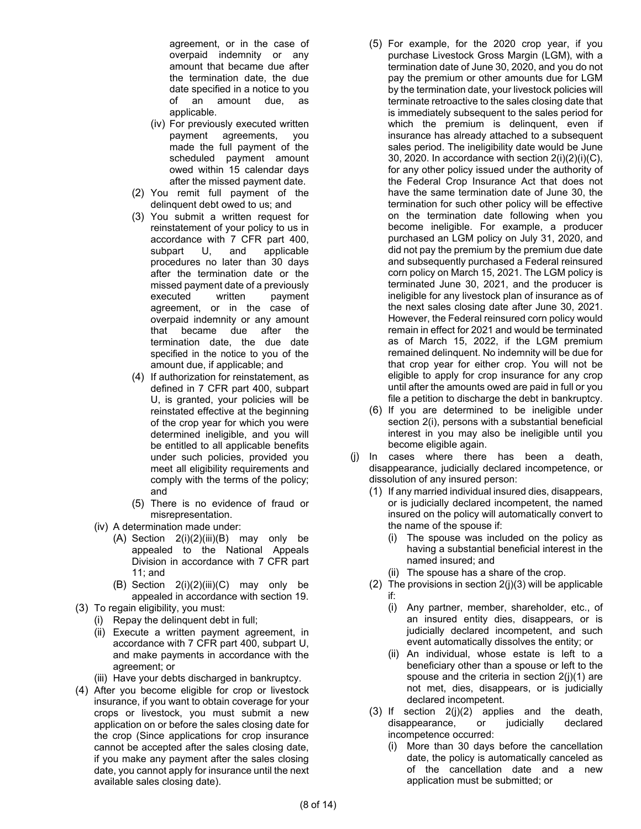agreement, or in the case of overpaid indemnity or any amount that became due after the termination date, the due date specified in a notice to you of an amount due, as applicable.

- (iv) For previously executed written payment agreements, you made the full payment of the scheduled payment amount owed within 15 calendar days after the missed payment date.
- (2) You remit full payment of the delinquent debt owed to us; and
- (3) You submit a written request for reinstatement of your policy to us in accordance with 7 CFR part 400, subpart U, and applicable procedures no later than 30 days after the termination date or the missed payment date of a previously executed written payment agreement, or in the case of overpaid indemnity or any amount that became due after the termination date, the due date specified in the notice to you of the amount due, if applicable; and
- (4) If authorization for reinstatement, as defined in 7 CFR part 400, subpart U, is granted, your policies will be reinstated effective at the beginning of the crop year for which you were determined ineligible, and you will be entitled to all applicable benefits under such policies, provided you meet all eligibility requirements and comply with the terms of the policy; and
- (5) There is no evidence of fraud or misrepresentation.
- (iv) A determination made under:
	- $(A)$  Section  $2(i)(2)(iii)(B)$  may only be appealed to the National Appeals Division in accordance with 7 CFR part 11; and
	- (B) Section  $2(i)(2)(iii)(C)$  may only be appealed in accordance with section 19.
- (3) To regain eligibility, you must:
	- (i) Repay the delinquent debt in full;
	- (ii) Execute a written payment agreement, in accordance with 7 CFR part 400, subpart U, and make payments in accordance with the agreement; or
	- (iii) Have your debts discharged in bankruptcy.
- (4) After you become eligible for crop or livestock insurance, if you want to obtain coverage for your crops or livestock, you must submit a new application on or before the sales closing date for the crop (Since applications for crop insurance cannot be accepted after the sales closing date, if you make any payment after the sales closing date, you cannot apply for insurance until the next available sales closing date).
- (5) For example, for the 2020 crop year, if you purchase Livestock Gross Margin (LGM), with a termination date of June 30, 2020, and you do not pay the premium or other amounts due for LGM by the termination date, your livestock policies will terminate retroactive to the sales closing date that is immediately subsequent to the sales period for which the premium is delinguent, even if insurance has already attached to a subsequent sales period. The ineligibility date would be June 30, 2020. In accordance with section  $2(i)(2)(i)(C)$ , for any other policy issued under the authority of the Federal Crop Insurance Act that does not have the same termination date of June 30, the termination for such other policy will be effective on the termination date following when you become ineligible. For example, a producer purchased an LGM policy on July 31, 2020, and did not pay the premium by the premium due date and subsequently purchased a Federal reinsured corn policy on March 15, 2021. The LGM policy is terminated June 30, 2021, and the producer is ineligible for any livestock plan of insurance as of the next sales closing date after June 30, 2021. However, the Federal reinsured corn policy would remain in effect for 2021 and would be terminated as of March 15, 2022, if the LGM premium remained delinquent. No indemnity will be due for that crop year for either crop. You will not be eligible to apply for crop insurance for any crop until after the amounts owed are paid in full or you file a petition to discharge the debt in bankruptcy.
- (6) If you are determined to be ineligible under section [2\(i\),](#page-6-3) persons with a substantial beneficial interest in you may also be ineligible until you become eligible again.
- <span id="page-8-3"></span><span id="page-8-2"></span><span id="page-8-1"></span><span id="page-8-0"></span>(j) In cases where there has been a death, disappearance, judicially declared incompetence, or dissolution of any insured person:
	- (1) If any married individual insured dies, disappears, or is judicially declared incompetent, the named insured on the policy will automatically convert to the name of the spouse if:
		- (i) The spouse was included on the policy as having a substantial beneficial interest in the named insured; and
		- (ii) The spouse has a share of the crop.
	- (2) The provisions in section  $2(j)(3)$  will be applicable if:
		- (i) Any partner, member, shareholder, etc., of an insured entity dies, disappears, or is judicially declared incompetent, and such event automatically dissolves the entity; or
		- (ii) An individual, whose estate is left to a beneficiary other than a spouse or left to the spouse and the criteria in section [2\(j\)\(1\)](#page-8-2) are not met, dies, disappears, or is judicially declared incompetent.
	- (3) If section [2\(j\)\(2\)](#page-8-3) applies and the death, disappearance, or judicially declared incompetence occurred:
		- (i) More than 30 days before the cancellation date, the policy is automatically canceled as of the cancellation date and a new application must be submitted; or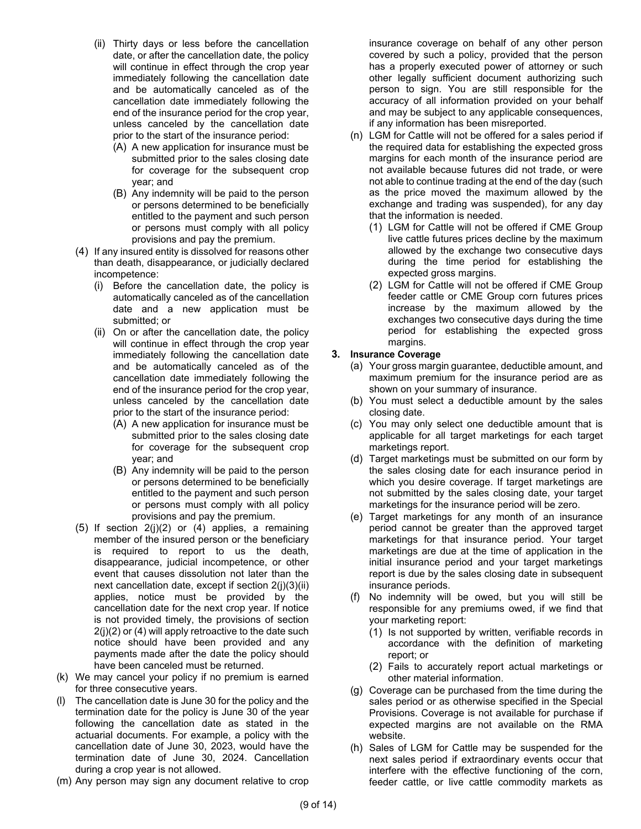- <span id="page-9-1"></span>(ii) Thirty days or less before the cancellation date, or after the cancellation date, the policy will continue in effect through the crop year immediately following the cancellation date and be automatically canceled as of the cancellation date immediately following the end of the insurance period for the crop year, unless canceled by the cancellation date prior to the start of the insurance period:
	- (A) A new application for insurance must be submitted prior to the sales closing date for coverage for the subsequent crop year; and
	- (B) Any indemnity will be paid to the person or persons determined to be beneficially entitled to the payment and such person or persons must comply with all policy provisions and pay the premium.
- <span id="page-9-0"></span>(4) If any insured entity is dissolved for reasons other than death, disappearance, or judicially declared incompetence:
	- (i) Before the cancellation date, the policy is automatically canceled as of the cancellation date and a new application must be submitted; or
	- (ii) On or after the cancellation date, the policy will continue in effect through the crop year immediately following the cancellation date and be automatically canceled as of the cancellation date immediately following the end of the insurance period for the crop year, unless canceled by the cancellation date prior to the start of the insurance period:
		- (A) A new application for insurance must be submitted prior to the sales closing date for coverage for the subsequent crop year; and
		- (B) Any indemnity will be paid to the person or persons determined to be beneficially entitled to the payment and such person or persons must comply with all policy provisions and pay the premium.
- (5) If section [2\(j\)\(2\)](#page-8-3) or [\(4\)](#page-9-0) applies, a remaining member of the insured person or the beneficiary is required to report to us the death, disappearance, judicial incompetence, or other event that causes dissolution not later than the next cancellation date, except if section [2\(j\)\(3\)\(ii\)](#page-9-1) applies, notice must be provided by the cancellation date for the next crop year. If notice is not provided timely, the provisions of section [2\(j\)\(2\)](#page-8-3) o[r \(4\)](#page-9-0) will apply retroactive to the date such notice should have been provided and any payments made after the date the policy should have been canceled must be returned.
- (k) We may cancel your policy if no premium is earned for three consecutive years.
- (l) The cancellation date is June 30 for the policy and the termination date for the policy is June 30 of the year following the cancellation date as stated in the actuarial documents. For example, a policy with the cancellation date of June 30, 2023, would have the termination date of June 30, 2024. Cancellation during a crop year is not allowed.
- (m) Any person may sign any document relative to crop

insurance coverage on behalf of any other person covered by such a policy, provided that the person has a properly executed power of attorney or such other legally sufficient document authorizing such person to sign. You are still responsible for the accuracy of all information provided on your behalf and may be subject to any applicable consequences, if any information has been misreported.

- (n) LGM for Cattle will not be offered for a sales period if the required data for establishing the expected gross margins for each month of the insurance period are not available because futures did not trade, or were not able to continue trading at the end of the day (such as the price moved the maximum allowed by the exchange and trading was suspended), for any day that the information is needed.
	- (1) LGM for Cattle will not be offered if CME Group live cattle futures prices decline by the maximum allowed by the exchange two consecutive days during the time period for establishing the expected gross margins.
	- (2) LGM for Cattle will not be offered if CME Group feeder cattle or CME Group corn futures prices increase by the maximum allowed by the exchanges two consecutive days during the time period for establishing the expected gross margins.

## **3. Insurance Coverage**

- (a) Your gross margin guarantee, deductible amount, and maximum premium for the insurance period are as shown on your summary of insurance.
- (b) You must select a deductible amount by the sales closing date.
- (c) You may only select one deductible amount that is applicable for all target marketings for each target marketings report.
- (d) Target marketings must be submitted on our form by the sales closing date for each insurance period in which you desire coverage. If target marketings are not submitted by the sales closing date, your target marketings for the insurance period will be zero.
- (e) Target marketings for any month of an insurance period cannot be greater than the approved target marketings for that insurance period. Your target marketings are due at the time of application in the initial insurance period and your target marketings report is due by the sales closing date in subsequent insurance periods.
- (f) No indemnity will be owed, but you will still be responsible for any premiums owed, if we find that your marketing report:
	- (1) Is not supported by written, verifiable records in accordance with the definition of marketing report; or
	- (2) Fails to accurately report actual marketings or other material information.
- (g) Coverage can be purchased from the time during the sales period or as otherwise specified in the Special Provisions. Coverage is not available for purchase if expected margins are not available on the RMA website.
- (h) Sales of LGM for Cattle may be suspended for the next sales period if extraordinary events occur that interfere with the effective functioning of the corn, feeder cattle, or live cattle commodity markets as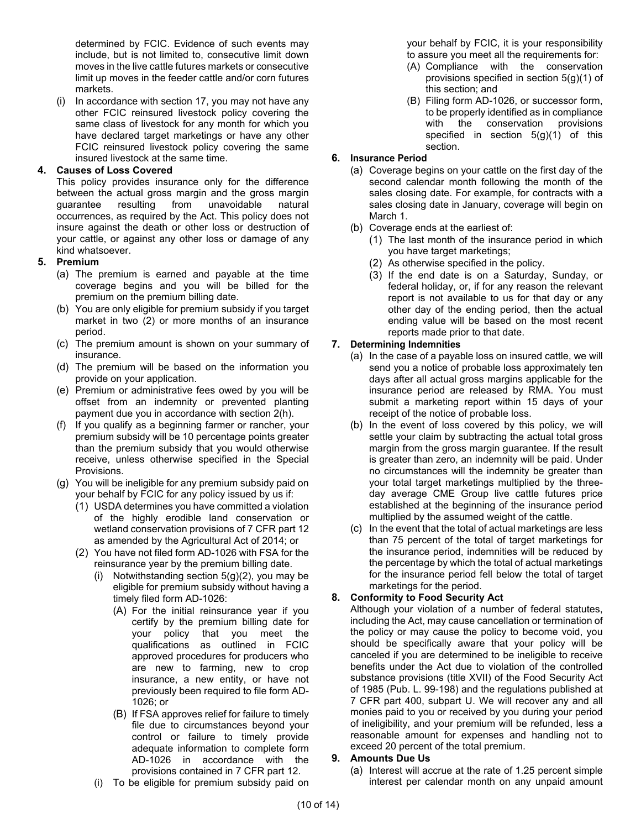determined by FCIC. Evidence of such events may include, but is not limited to, consecutive limit down moves in the live cattle futures markets or consecutive limit up moves in the feeder cattle and/or corn futures markets.

(i) In accordance with section 17, you may not have any other FCIC reinsured livestock policy covering the same class of livestock for any month for which you have declared target marketings or have any other FCIC reinsured livestock policy covering the same insured livestock at the same time.

#### **4. Causes of Loss Covered**

This policy provides insurance only for the difference between the actual gross margin and the gross margin guarantee resulting from unavoidable natural occurrences, as required by the Act. This policy does not insure against the death or other loss or destruction of your cattle, or against any other loss or damage of any kind whatsoever.

## **5. Premium**

- (a) The premium is earned and payable at the time coverage begins and you will be billed for the premium on the premium billing date.
- (b) You are only eligible for premium subsidy if you target market in two (2) or more months of an insurance period.
- (c) The premium amount is shown on your summary of insurance.
- (d) The premium will be based on the information you provide on your application.
- (e) Premium or administrative fees owed by you will be offset from an indemnity or prevented planting payment due you in accordance with section [2\(h\).](#page-6-2)
- (f) If you qualify as a beginning farmer or rancher, your premium subsidy will be 10 percentage points greater than the premium subsidy that you would otherwise receive, unless otherwise specified in the Special Provisions.
- <span id="page-10-2"></span><span id="page-10-1"></span>(g) You will be ineligible for any premium subsidy paid on your behalf by FCIC for any policy issued by us if:
	- (1) USDA determines you have committed a violation of the highly erodible land conservation or wetland conservation provisions of 7 CFR part 12 as amended by the Agricultural Act of 2014; or
	- (2) You have not filed form AD-1026 with FSA for the reinsurance year by the premium billing date.
		- (i) Notwithstanding section  $5(g)(2)$ , you may be eligible for premium subsidy without having a timely filed form AD-1026:
			- (A) For the initial reinsurance year if you certify by the premium billing date for your policy that you meet the qualifications as outlined in FCIC approved procedures for producers who are new to farming, new to crop insurance, a new entity, or have not previously been required to file form AD-1026; or
			- (B) If FSA approves relief for failure to timely file due to circumstances beyond your control or failure to timely provide adequate information to complete form AD-1026 in accordance with the provisions contained in 7 CFR part 12.
		- (i) To be eligible for premium subsidy paid on

your behalf by FCIC, it is your responsibility to assure you meet all the requirements for:

- (A) Compliance with the conservation provisions specified in section [5\(g\)\(1\)](#page-10-2) of this section; and
- (B) Filing form AD-1026, or successor form, to be properly identified as in compliance with the conservation provisions specified in section  $5(g)(1)$  of this section.

## **6. Insurance Period**

- (a) Coverage begins on your cattle on the first day of the second calendar month following the month of the sales closing date. For example, for contracts with a sales closing date in January, coverage will begin on March 1.
- (b) Coverage ends at the earliest of:
	- (1) The last month of the insurance period in which you have target marketings;
	- (2) As otherwise specified in the policy.
	- (3) If the end date is on a Saturday, Sunday, or federal holiday, or, if for any reason the relevant report is not available to us for that day or any other day of the ending period, then the actual ending value will be based on the most recent reports made prior to that date.

#### <span id="page-10-0"></span>**7. Determining Indemnities**

- (a) In the case of a payable loss on insured cattle, we will send you a notice of probable loss approximately ten days after all actual gross margins applicable for the insurance period are released by RMA. You must submit a marketing report within 15 days of your receipt of the notice of probable loss.
- <span id="page-10-3"></span>(b) In the event of loss covered by this policy, we will settle your claim by subtracting the actual total gross margin from the gross margin guarantee. If the result is greater than zero, an indemnity will be paid. Under no circumstances will the indemnity be greater than your total target marketings multiplied by the threeday average CME Group live cattle futures price established at the beginning of the insurance period multiplied by the assumed weight of the cattle.
- (c) In the event that the total of actual marketings are less than 75 percent of the total of target marketings for the insurance period, indemnities will be reduced by the percentage by which the total of actual marketings for the insurance period fell below the total of target marketings for the period.

## **8. Conformity to Food Security Act**

Although your violation of a number of federal statutes, including the Act, may cause cancellation or termination of the policy or may cause the policy to become void, you should be specifically aware that your policy will be canceled if you are determined to be ineligible to receive benefits under the Act due to violation of the controlled substance provisions (title XVII) of the Food Security Act of 1985 (Pub. L. 99-198) and the regulations published at 7 CFR part 400, subpart U. We will recover any and all monies paid to you or received by you during your period of ineligibility, and your premium will be refunded, less a reasonable amount for expenses and handling not to exceed 20 percent of the total premium.

#### **9. Amounts Due Us**

(a) Interest will accrue at the rate of 1.25 percent simple interest per calendar month on any unpaid amount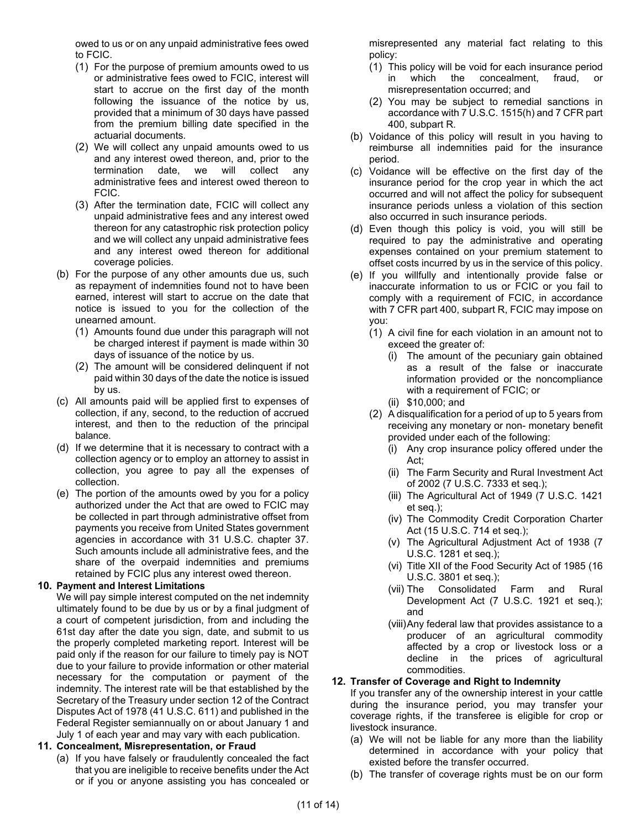owed to us or on any unpaid administrative fees owed to FCIC.

- (1) For the purpose of premium amounts owed to us or administrative fees owed to FCIC, interest will start to accrue on the first day of the month following the issuance of the notice by us, provided that a minimum of 30 days have passed from the premium billing date specified in the actuarial documents.
- (2) We will collect any unpaid amounts owed to us and any interest owed thereon, and, prior to the termination date, we will collect any administrative fees and interest owed thereon to FCIC.
- (3) After the termination date, FCIC will collect any unpaid administrative fees and any interest owed thereon for any catastrophic risk protection policy and we will collect any unpaid administrative fees and any interest owed thereon for additional coverage policies.
- (b) For the purpose of any other amounts due us, such as repayment of indemnities found not to have been earned, interest will start to accrue on the date that notice is issued to you for the collection of the unearned amount.
	- (1) Amounts found due under this paragraph will not be charged interest if payment is made within 30 days of issuance of the notice by us.
	- (2) The amount will be considered delinquent if not paid within 30 days of the date the notice is issued by us.
- (c) All amounts paid will be applied first to expenses of collection, if any, second, to the reduction of accrued interest, and then to the reduction of the principal balance.
- (d) If we determine that it is necessary to contract with a collection agency or to employ an attorney to assist in collection, you agree to pay all the expenses of collection.
- (e) The portion of the amounts owed by you for a policy authorized under the Act that are owed to FCIC may be collected in part through administrative offset from payments you receive from United States government agencies in accordance with 31 U.S.C. chapter 37. Such amounts include all administrative fees, and the share of the overpaid indemnities and premiums retained by FCIC plus any interest owed thereon.

#### <span id="page-11-0"></span>**10. Payment and Interest Limitations**

We will pay simple interest computed on the net indemnity ultimately found to be due by us or by a final judgment of a court of competent jurisdiction, from and including the 61st day after the date you sign, date, and submit to us the properly completed marketing report. Interest will be paid only if the reason for our failure to timely pay is NOT due to your failure to provide information or other material necessary for the computation or payment of the indemnity. The interest rate will be that established by the Secretary of the Treasury under section 12 of the Contract Disputes Act of 1978 (41 U.S.C. 611) and published in the Federal Register semiannually on or about January 1 and July 1 of each year and may vary with each publication.

## **11. Concealment, Misrepresentation, or Fraud**

(a) If you have falsely or fraudulently concealed the fact that you are ineligible to receive benefits under the Act or if you or anyone assisting you has concealed or misrepresented any material fact relating to this policy:

- (1) This policy will be void for each insurance period in which the concealment, fraud, or misrepresentation occurred; and
- (2) You may be subject to remedial sanctions in accordance with 7 U.S.C. 1515(h) and 7 CFR part 400, subpart R.
- (b) Voidance of this policy will result in you having to reimburse all indemnities paid for the insurance period.
- (c) Voidance will be effective on the first day of the insurance period for the crop year in which the act occurred and will not affect the policy for subsequent insurance periods unless a violation of this section also occurred in such insurance periods.
- (d) Even though this policy is void, you will still be required to pay the administrative and operating expenses contained on your premium statement to offset costs incurred by us in the service of this policy.
- (e) If you willfully and intentionally provide false or inaccurate information to us or FCIC or you fail to comply with a requirement of FCIC, in accordance with 7 CFR part 400, subpart R, FCIC may impose on you:
	- (1) A civil fine for each violation in an amount not to exceed the greater of:
		- (i) The amount of the pecuniary gain obtained as a result of the false or inaccurate information provided or the noncompliance with a requirement of FCIC; or
		- (ii) \$10,000; and
	- (2) A disqualification for a period of up to 5 years from receiving any monetary or non- monetary benefit provided under each of the following:
		- (i) Any crop insurance policy offered under the Act;
		- (ii) The Farm Security and Rural Investment Act of 2002 (7 U.S.C. 7333 et seq.);
		- (iii) The Agricultural Act of 1949 (7 U.S.C. 1421 et seq.);
		- (iv) The Commodity Credit Corporation Charter Act (15 U.S.C. 714 et seq.);
		- (v) The Agricultural Adjustment Act of 1938 (7 U.S.C. 1281 et seq.);
		- (vi) Title XII of the Food Security Act of 1985 (16 U.S.C. 3801 et seq.);
		- (vii) The Consolidated Farm and Rural Development Act (7 U.S.C. 1921 et seq.); and
		- (viii)Any federal law that provides assistance to a producer of an agricultural commodity affected by a crop or livestock loss or a decline in the prices of agricultural commodities.

## **12. Transfer of Coverage and Right to Indemnity**

If you transfer any of the ownership interest in your cattle during the insurance period, you may transfer your coverage rights, if the transferee is eligible for crop or livestock insurance.

- (a) We will not be liable for any more than the liability determined in accordance with your policy that existed before the transfer occurred.
- (b) The transfer of coverage rights must be on our form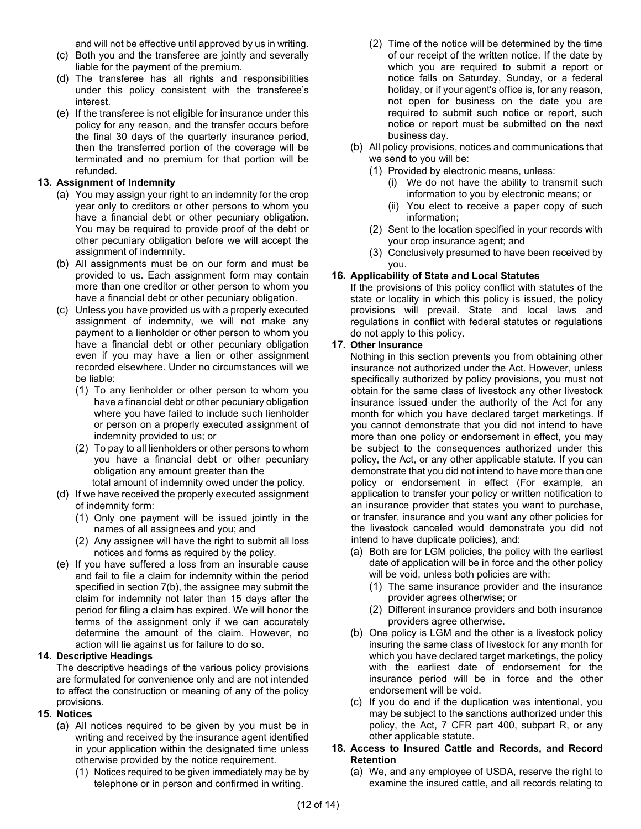and will not be effective until approved by us in writing.

- (c) Both you and the transferee are jointly and severally liable for the payment of the premium.
- (d) The transferee has all rights and responsibilities under this policy consistent with the transferee's interest.
- (e) If the transferee is not eligible for insurance under this policy for any reason, and the transfer occurs before the final 30 days of the quarterly insurance period, then the transferred portion of the coverage will be terminated and no premium for that portion will be refunded.

#### **13. Assignment of Indemnity**

- (a) You may assign your right to an indemnity for the crop year only to creditors or other persons to whom you have a financial debt or other pecuniary obligation. You may be required to provide proof of the debt or other pecuniary obligation before we will accept the assignment of indemnity.
- (b) All assignments must be on our form and must be provided to us. Each assignment form may contain more than one creditor or other person to whom you have a financial debt or other pecuniary obligation.
- (c) Unless you have provided us with a properly executed assignment of indemnity, we will not make any payment to a lienholder or other person to whom you have a financial debt or other pecuniary obligation even if you may have a lien or other assignment recorded elsewhere. Under no circumstances will we be liable:
	- (1) To any lienholder or other person to whom you have a financial debt or other pecuniary obligation where you have failed to include such lienholder or person on a properly executed assignment of indemnity provided to us; or
	- (2) To pay to all lienholders or other persons to whom you have a financial debt or other pecuniary obligation any amount greater than the total amount of indemnity owed under the policy.
- (d) If we have received the properly executed assignment of indemnity form:
	- (1) Only one payment will be issued jointly in the names of all assignees and you; and
	- (2) Any assignee will have the right to submit all loss notices and forms as required by the policy.
- (e) If you have suffered a loss from an insurable cause and fail to file a claim for indemnity within the period specified in section [7\(b\),](#page-10-3) the assignee may submit the claim for indemnity not later than 15 days after the period for filing a claim has expired. We will honor the terms of the assignment only if we can accurately determine the amount of the claim. However, no action will lie against us for failure to do so.

#### **14. Descriptive Headings**

The descriptive headings of the various policy provisions are formulated for convenience only and are not intended to affect the construction or meaning of any of the policy provisions.

## **15. Notices**

- (a) All notices required to be given by you must be in writing and received by the insurance agent identified in your application within the designated time unless otherwise provided by the notice requirement.
	- (1) Notices required to be given immediately may be by telephone or in person and confirmed in writing.
- (2) Time of the notice will be determined by the time of our receipt of the written notice. If the date by which you are required to submit a report or notice falls on Saturday, Sunday, or a federal holiday, or if your agent's office is, for any reason, not open for business on the date you are required to submit such notice or report, such notice or report must be submitted on the next business day.
- (b) All policy provisions, notices and communications that we send to you will be:
	- (1) Provided by electronic means, unless:
		- (i) We do not have the ability to transmit such information to you by electronic means; or
		- (ii) You elect to receive a paper copy of such information;
	- (2) Sent to the location specified in your records with your crop insurance agent; and
	- (3) Conclusively presumed to have been received by you.

#### **16. Applicability of State and Local Statutes**

If the provisions of this policy conflict with statutes of the state or locality in which this policy is issued, the policy provisions will prevail. State and local laws and regulations in conflict with federal statutes or regulations do not apply to this policy.

#### **17. Other Insurance**

Nothing in this section prevents you from obtaining other insurance not authorized under the Act. However, unless specifically authorized by policy provisions, you must not obtain for the same class of livestock any other livestock insurance issued under the authority of the Act for any month for which you have declared target marketings. If you cannot demonstrate that you did not intend to have more than one policy or endorsement in effect, you may be subject to the consequences authorized under this policy, the Act, or any other applicable statute. If you can demonstrate that you did not intend to have more than one policy or endorsement in effect (For example, an application to transfer your policy or written notification to an insurance provider that states you want to purchase, or transfer, insurance and you want any other policies for the livestock canceled would demonstrate you did not intend to have duplicate policies), and:

- (a) Both are for LGM policies, the policy with the earliest date of application will be in force and the other policy will be void, unless both policies are with:
	- (1) The same insurance provider and the insurance provider agrees otherwise; or
	- (2) Different insurance providers and both insurance providers agree otherwise.
- (b) One policy is LGM and the other is a livestock policy insuring the same class of livestock for any month for which you have declared target marketings, the policy with the earliest date of endorsement for the insurance period will be in force and the other endorsement will be void.
- (c) If you do and if the duplication was intentional, you may be subject to the sanctions authorized under this policy, the Act, 7 CFR part 400, subpart R, or any other applicable statute.

#### **18. Access to Insured Cattle and Records, and Record Retention**

(a) We, and any employee of USDA, reserve the right to examine the insured cattle, and all records relating to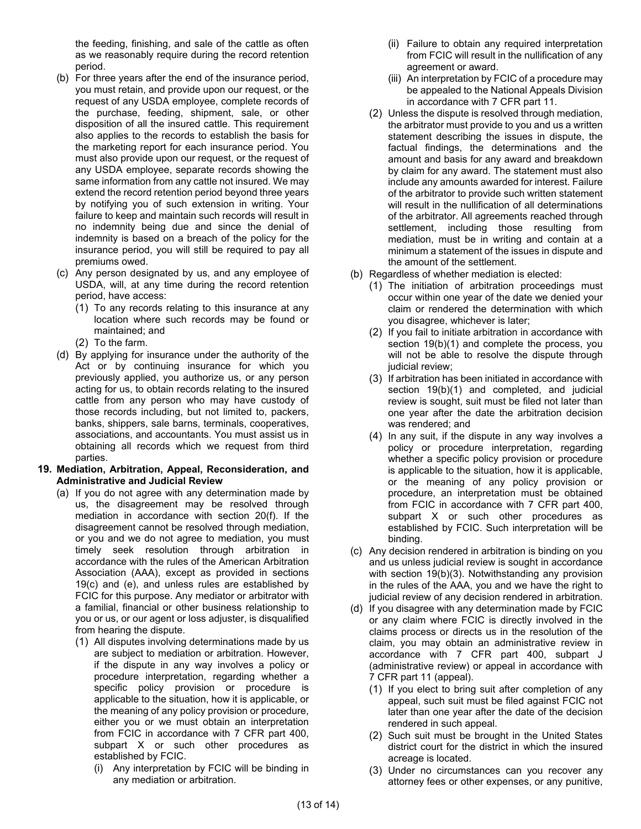the feeding, finishing, and sale of the cattle as often as we reasonably require during the record retention period.

- (b) For three years after the end of the insurance period, you must retain, and provide upon our request, or the request of any USDA employee, complete records of the purchase, feeding, shipment, sale, or other disposition of all the insured cattle. This requirement also applies to the records to establish the basis for the marketing report for each insurance period. You must also provide upon our request, or the request of any USDA employee, separate records showing the same information from any cattle not insured. We may extend the record retention period beyond three years by notifying you of such extension in writing. Your failure to keep and maintain such records will result in no indemnity being due and since the denial of indemnity is based on a breach of the policy for the insurance period, you will still be required to pay all premiums owed.
- (c) Any person designated by us, and any employee of USDA, will, at any time during the record retention period, have access:
	- (1) To any records relating to this insurance at any location where such records may be found or maintained; and
	- (2) To the farm.
- (d) By applying for insurance under the authority of the Act or by continuing insurance for which you previously applied, you authorize us, or any person acting for us, to obtain records relating to the insured cattle from any person who may have custody of those records including, but not limited to, packers, banks, shippers, sale barns, terminals, cooperatives, associations, and accountants. You must assist us in obtaining all records which we request from third parties.
- **19. Mediation, Arbitration, Appeal, Reconsideration, and Administrative and Judicial Review**
	- (a) If you do not agree with any determination made by us, the disagreement may be resolved through mediation in accordance with section [20\(f\).](#page-14-0) If the disagreement cannot be resolved through mediation, or you and we do not agree to mediation, you must timely seek resolution through arbitration in accordance with the rules of the American Arbitration Association (AAA), except as provided in sections [19\(c\)](#page-13-0) and [\(e\),](#page-14-1) and unless rules are established by FCIC for this purpose. Any mediator or arbitrator with a familial, financial or other business relationship to you or us, or our agent or loss adjuster, is disqualified from hearing the dispute.
		- (1) All disputes involving determinations made by us are subject to mediation or arbitration. However, if the dispute in any way involves a policy or procedure interpretation, regarding whether a specific policy provision or procedure is applicable to the situation, how it is applicable, or the meaning of any policy provision or procedure, either you or we must obtain an interpretation from FCIC in accordance with 7 CFR part 400, subpart X or such other procedures as established by FCIC.
			- (i) Any interpretation by FCIC will be binding in any mediation or arbitration.
- (ii) Failure to obtain any required interpretation from FCIC will result in the nullification of any agreement or award.
- (iii) An interpretation by FCIC of a procedure may be appealed to the National Appeals Division in accordance with 7 CFR part 11.
- (2) Unless the dispute is resolved through mediation, the arbitrator must provide to you and us a written statement describing the issues in dispute, the factual findings, the determinations and the amount and basis for any award and breakdown by claim for any award. The statement must also include any amounts awarded for interest. Failure of the arbitrator to provide such written statement will result in the nullification of all determinations of the arbitrator. All agreements reached through settlement, including those resulting from mediation, must be in writing and contain at a minimum a statement of the issues in dispute and the amount of the settlement.
- <span id="page-13-2"></span><span id="page-13-1"></span>(b) Regardless of whether mediation is elected:
	- (1) The initiation of arbitration proceedings must occur within one year of the date we denied your claim or rendered the determination with which you disagree, whichever is later;
	- (2) If you fail to initiate arbitration in accordance with section [19\(b\)\(1\)](#page-13-1) and complete the process, you will not be able to resolve the dispute through judicial review;
	- (3) If arbitration has been initiated in accordance with section [19\(b\)\(1\)](#page-13-1) and completed, and judicial review is sought, suit must be filed not later than one year after the date the arbitration decision was rendered; and
	- (4) In any suit, if the dispute in any way involves a policy or procedure interpretation, regarding whether a specific policy provision or procedure is applicable to the situation, how it is applicable, or the meaning of any policy provision or procedure, an interpretation must be obtained from FCIC in accordance with 7 CFR part 400, subpart X or such other procedures as established by FCIC. Such interpretation will be binding.
- <span id="page-13-0"></span>(c) Any decision rendered in arbitration is binding on you and us unless judicial review is sought in accordance with section [19\(b\)\(3\).](#page-13-2) Notwithstanding any provision in the rules of the AAA, you and we have the right to judicial review of any decision rendered in arbitration.
- (d) If you disagree with any determination made by FCIC or any claim where FCIC is directly involved in the claims process or directs us in the resolution of the claim, you may obtain an administrative review in accordance with 7 CFR part 400, subpart J (administrative review) or appeal in accordance with 7 CFR part 11 (appeal).
	- (1) If you elect to bring suit after completion of any appeal, such suit must be filed against FCIC not later than one year after the date of the decision rendered in such appeal.
	- (2) Such suit must be brought in the United States district court for the district in which the insured acreage is located.
	- (3) Under no circumstances can you recover any attorney fees or other expenses, or any punitive,